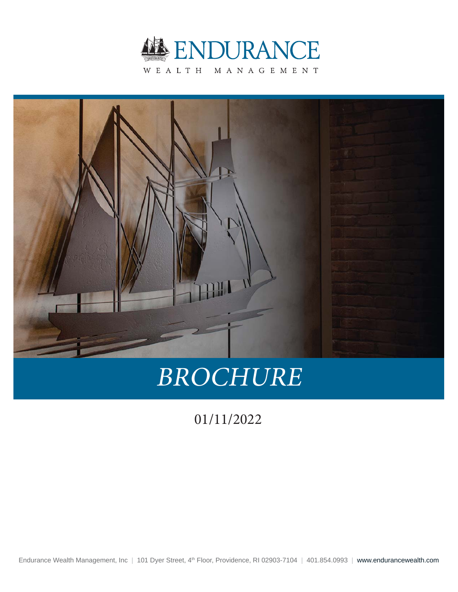



# BROCHURE

1/11/2022

Endurance Wealth Management, Inc | 101 Dyer Street, 4<sup>th</sup> Floor, Providence, RI 02903-7104 | 401.854.0993 | www.endurancewealth.com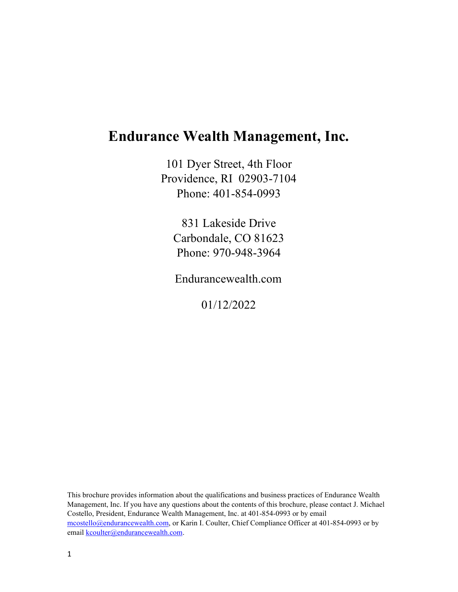## **Endurance Wealth Management, Inc.**

101 Dyer Street, 4th Floor Providence, RI 02903-7104 Phone: 401-854-0993

831 Lakeside Drive Carbondale, CO 81623 Phone: 970-948-3964

Endurancewealth.com

01/12/2022

This brochure provides information about the qualifications and business practices of Endurance Wealth Management, Inc. If you have any questions about the contents of this brochure, please contact J. Michael Costello, President, Endurance Wealth Management, Inc. at 401-854-0993 or by email mcostello@endurancewealth.com, or Karin I. Coulter, Chief Compliance Officer at 401-854-0993 or by email kcoulter@endurancewealth.com.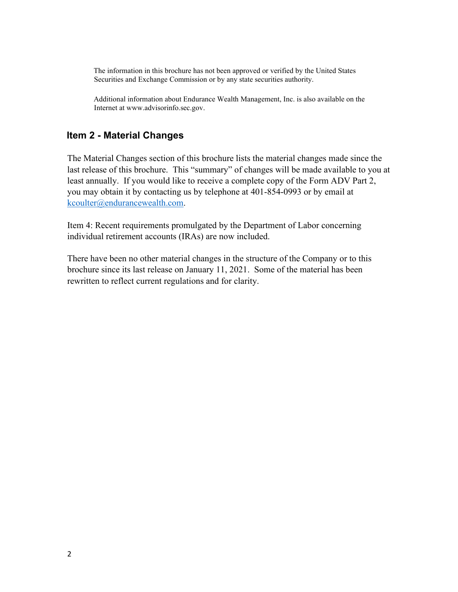The information in this brochure has not been approved or verified by the United States Securities and Exchange Commission or by any state securities authority.

Additional information about Endurance Wealth Management, Inc. is also available on the Internet at www.advisorinfo.sec.gov.

#### **Item 2 - Material Changes**

The Material Changes section of this brochure lists the material changes made since the last release of this brochure. This "summary" of changes will be made available to you at least annually. If you would like to receive a complete copy of the Form ADV Part 2, you may obtain it by contacting us by telephone at 401-854-0993 or by email at [kcoulter@endurancewealth.com.](mailto:kcoulter@endurancewealth.com)

Item 4: Recent requirements promulgated by the Department of Labor concerning individual retirement accounts (IRAs) are now included.

There have been no other material changes in the structure of the Company or to this brochure since its last release on January 11, 2021. Some of the material has been rewritten to reflect current regulations and for clarity.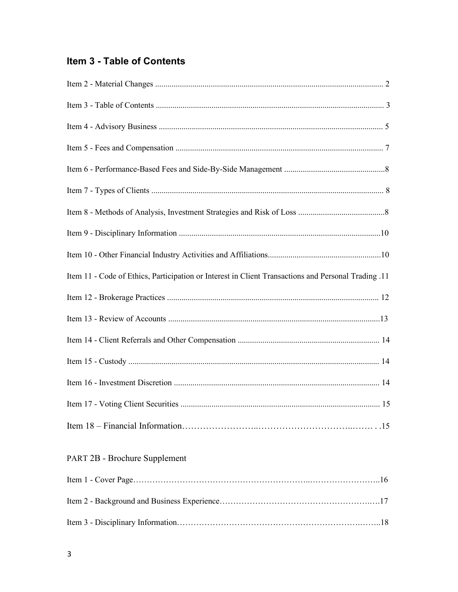## **Item 3 - Table of Contents**

| 11. Item 11 - Code of Ethics, Participation or Interest in Client Transactions and Personal Trading |
|-----------------------------------------------------------------------------------------------------|
|                                                                                                     |
|                                                                                                     |
|                                                                                                     |
|                                                                                                     |
|                                                                                                     |
|                                                                                                     |
|                                                                                                     |
| <b>PART 2B - Brochure Supplement</b>                                                                |
|                                                                                                     |
|                                                                                                     |
|                                                                                                     |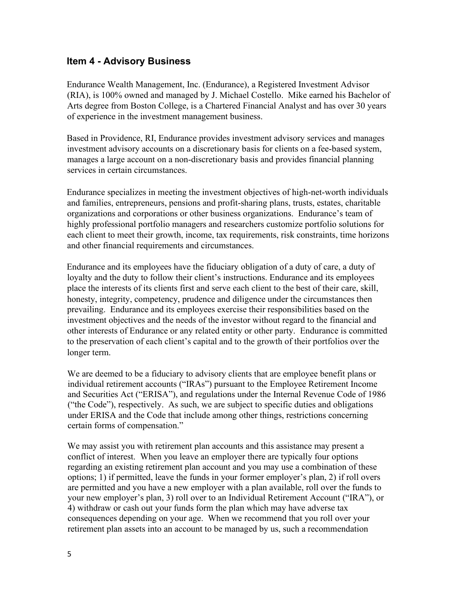#### **Item 4 - Advisory Business**

Endurance Wealth Management, Inc. (Endurance), a Registered Investment Advisor (RIA), is 100% owned and managed by J. Michael Costello. Mike earned his Bachelor of Arts degree from Boston College, is a Chartered Financial Analyst and has over 30 years of experience in the investment management business.

Based in Providence, RI, Endurance provides investment advisory services and manages investment advisory accounts on a discretionary basis for clients on a fee-based system, manages a large account on a non-discretionary basis and provides financial planning services in certain circumstances.

Endurance specializes in meeting the investment objectives of high-net-worth individuals and families, entrepreneurs, pensions and profit-sharing plans, trusts, estates, charitable organizations and corporations or other business organizations. Endurance's team of highly professional portfolio managers and researchers customize portfolio solutions for each client to meet their growth, income, tax requirements, risk constraints, time horizons and other financial requirements and circumstances.

Endurance and its employees have the fiduciary obligation of a duty of care, a duty of loyalty and the duty to follow their client's instructions. Endurance and its employees place the interests of its clients first and serve each client to the best of their care, skill, honesty, integrity, competency, prudence and diligence under the circumstances then prevailing. Endurance and its employees exercise their responsibilities based on the investment objectives and the needs of the investor without regard to the financial and other interests of Endurance or any related entity or other party. Endurance is committed to the preservation of each client's capital and to the growth of their portfolios over the longer term.

We are deemed to be a fiduciary to advisory clients that are employee benefit plans or individual retirement accounts ("IRAs") pursuant to the Employee Retirement Income and Securities Act ("ERISA"), and regulations under the Internal Revenue Code of 1986 ("the Code"), respectively. As such, we are subject to specific duties and obligations under ERISA and the Code that include among other things, restrictions concerning certain forms of compensation."

We may assist you with retirement plan accounts and this assistance may present a conflict of interest. When you leave an employer there are typically four options regarding an existing retirement plan account and you may use a combination of these options; 1) if permitted, leave the funds in your former employer's plan, 2) if roll overs are permitted and you have a new employer with a plan available, roll over the funds to your new employer's plan, 3) roll over to an Individual Retirement Account ("IRA"), or 4) withdraw or cash out your funds form the plan which may have adverse tax consequences depending on your age. When we recommend that you roll over your retirement plan assets into an account to be managed by us, such a recommendation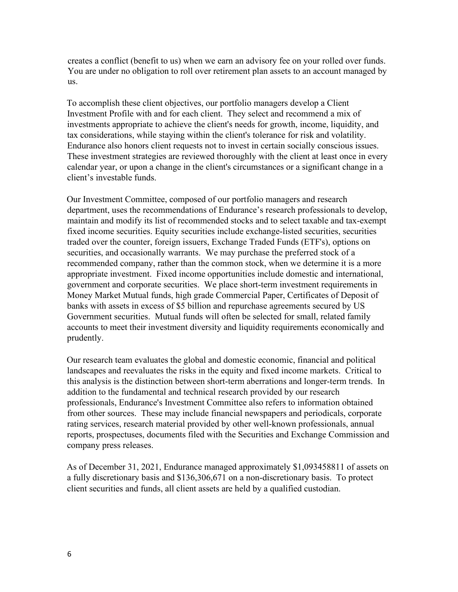creates a conflict (benefit to us) when we earn an advisory fee on your rolled over funds. You are under no obligation to roll over retirement plan assets to an account managed by us.

To accomplish these client objectives, our portfolio managers develop a Client Investment Profile with and for each client. They select and recommend a mix of investments appropriate to achieve the client's needs for growth, income, liquidity, and tax considerations, while staying within the client's tolerance for risk and volatility. Endurance also honors client requests not to invest in certain socially conscious issues. These investment strategies are reviewed thoroughly with the client at least once in every calendar year, or upon a change in the client's circumstances or a significant change in a client's investable funds.

Our Investment Committee, composed of our portfolio managers and research department, uses the recommendations of Endurance's research professionals to develop, maintain and modify its list of recommended stocks and to select taxable and tax-exempt fixed income securities. Equity securities include exchange-listed securities, securities traded over the counter, foreign issuers, Exchange Traded Funds (ETF's), options on securities, and occasionally warrants. We may purchase the preferred stock of a recommended company, rather than the common stock, when we determine it is a more appropriate investment. Fixed income opportunities include domestic and international, government and corporate securities. We place short-term investment requirements in Money Market Mutual funds, high grade Commercial Paper, Certificates of Deposit of banks with assets in excess of \$5 billion and repurchase agreements secured by US Government securities. Mutual funds will often be selected for small, related family accounts to meet their investment diversity and liquidity requirements economically and prudently.

Our research team evaluates the global and domestic economic, financial and political landscapes and reevaluates the risks in the equity and fixed income markets. Critical to this analysis is the distinction between short-term aberrations and longer-term trends. In addition to the fundamental and technical research provided by our research professionals, Endurance's Investment Committee also refers to information obtained from other sources. These may include financial newspapers and periodicals, corporate rating services, research material provided by other well-known professionals, annual reports, prospectuses, documents filed with the Securities and Exchange Commission and company press releases.

As of December 31, 2021, Endurance managed approximately \$1,093458811 of assets on a fully discretionary basis and \$136,306,671 on a non-discretionary basis. To protect client securities and funds, all client assets are held by a qualified custodian.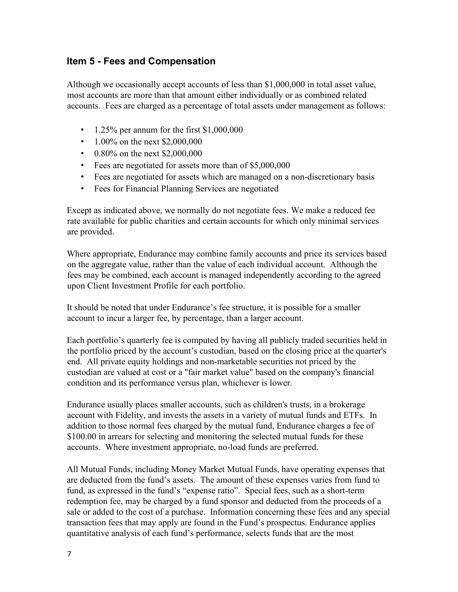#### **Item 5 - Fees and Compensation**

Although we occasionally accept accounts of less than \$1,000,000 in total asset value, most accounts are more than that amount either individually or as combined related accounts. Fees are charged as a percentage of total assets under management as follows:

- 1.25% per annum for the first \$1,000,000
- 1.00% on the next \$2,000,000
- 0.80% on the next \$2,000,000
- Fees are negotiated for assets more than of \$5,000,000
- Fees are negotiated for assets which are managed on a non-discretionary basis
- Fees for Financial Planning Services are negotiated

Except as indicated above, we normally do not negotiate fees. We make a reduced fee rate available for public charities and certain accounts for which only minimal services are provided.

Where appropriate, Endurance may combine family accounts and price its services based on the aggregate value, rather than the value of each individual account. Although the fees may be combined, each account is managed independently according to the agreed upon Client Investment Profile for each portfolio.

It should be noted that under Endurance's fee structure, it is possible for a smaller account to incur a larger fee, by percentage, than a larger account.

Each portfolio's quarterly fee is computed by having all publicly traded securities held in the portfolio priced by the account's custodian, based on the closing price at the quarter's end. All private equity holdings and non-marketable securities not priced by the custodian are valued at cost or a "fair market value" based on the company's financial condition and its performance versus plan, whichever is lower.

Endurance usually places smaller accounts, such as children's trusts, in a brokerage account with Fidelity, and invests the assets in a variety of mutual funds and ETFs. In addition to those normal fees charged by the mutual fund, Endurance charges a fee of \$100.00 in arrears for selecting and monitoring the selected mutual funds for these accounts. Where investment appropriate, no-load funds are preferred.

All Mutual Funds, including Money Market Mutual Funds, have operating expenses that are deducted from the fund's assets. The amount of these expenses varies from fund to fund, as expressed in the fund's "expense ratio". Special fees, such as a short-term redemption fee, may be charged by a fund sponsor and deducted from the proceeds of a sale or added to the cost of a purchase. Information concerning these fees and any special transaction fees that may apply are found in the Fund's prospectus. Endurance applies quantitative analysis of each fund's performance, selects funds that are the most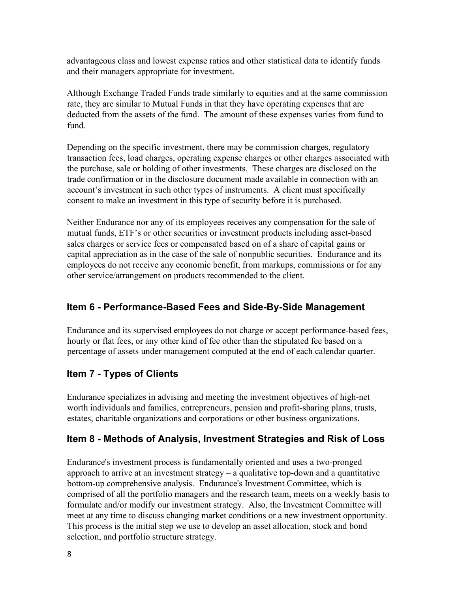advantageous class and lowest expense ratios and other statistical data to identify funds and their managers appropriate for investment.

Although Exchange Traded Funds trade similarly to equities and at the same commission rate, they are similar to Mutual Funds in that they have operating expenses that are deducted from the assets of the fund. The amount of these expenses varies from fund to fund.

Depending on the specific investment, there may be commission charges, regulatory transaction fees, load charges, operating expense charges or other charges associated with the purchase, sale or holding of other investments. These charges are disclosed on the trade confirmation or in the disclosure document made available in connection with an account's investment in such other types of instruments. A client must specifically consent to make an investment in this type of security before it is purchased.

Neither Endurance nor any of its employees receives any compensation for the sale of mutual funds, ETF's or other securities or investment products including asset-based sales charges or service fees or compensated based on of a share of capital gains or capital appreciation as in the case of the sale of nonpublic securities. Endurance and its employees do not receive any economic benefit, from markups, commissions or for any other service/arrangement on products recommended to the client.

#### **Item 6 - Performance-Based Fees and Side-By-Side Management**

Endurance and its supervised employees do not charge or accept performance-based fees, hourly or flat fees, or any other kind of fee other than the stipulated fee based on a percentage of assets under management computed at the end of each calendar quarter.

#### **Item 7 - Types of Clients**

Endurance specializes in advising and meeting the investment objectives of high-net worth individuals and families, entrepreneurs, pension and profit-sharing plans, trusts, estates, charitable organizations and corporations or other business organizations.

#### **Item 8 - Methods of Analysis, Investment Strategies and Risk of Loss**

Endurance's investment process is fundamentally oriented and uses a two-pronged approach to arrive at an investment strategy – a qualitative top-down and a quantitative bottom-up comprehensive analysis. Endurance's Investment Committee, which is comprised of all the portfolio managers and the research team, meets on a weekly basis to formulate and/or modify our investment strategy. Also, the Investment Committee will meet at any time to discuss changing market conditions or a new investment opportunity. This process is the initial step we use to develop an asset allocation, stock and bond selection, and portfolio structure strategy.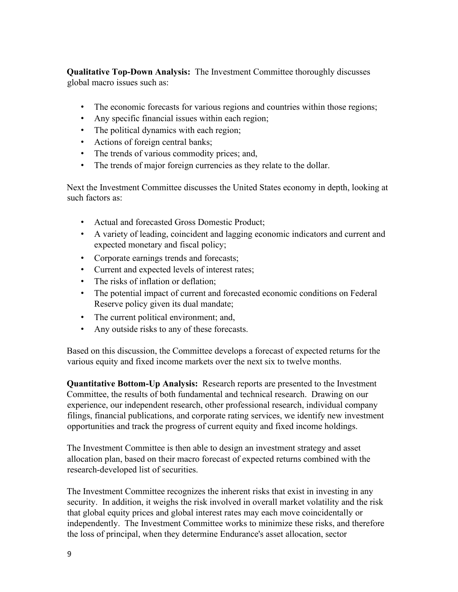**Qualitative Top-Down Analysis:** The Investment Committee thoroughly discusses global macro issues such as:

- The economic forecasts for various regions and countries within those regions;
- Any specific financial issues within each region;
- The political dynamics with each region;
- Actions of foreign central banks;
- The trends of various commodity prices; and,
- The trends of major foreign currencies as they relate to the dollar.

Next the Investment Committee discusses the United States economy in depth, looking at such factors as:

- Actual and forecasted Gross Domestic Product;
- A variety of leading, coincident and lagging economic indicators and current and expected monetary and fiscal policy;
- Corporate earnings trends and forecasts;
- Current and expected levels of interest rates;
- The risks of inflation or deflation;
- The potential impact of current and forecasted economic conditions on Federal Reserve policy given its dual mandate;
- The current political environment; and,
- Any outside risks to any of these forecasts.

Based on this discussion, the Committee develops a forecast of expected returns for the various equity and fixed income markets over the next six to twelve months.

**Quantitative Bottom-Up Analysis:** Research reports are presented to the Investment Committee, the results of both fundamental and technical research. Drawing on our experience, our independent research, other professional research, individual company filings, financial publications, and corporate rating services, we identify new investment opportunities and track the progress of current equity and fixed income holdings.

The Investment Committee is then able to design an investment strategy and asset allocation plan, based on their macro forecast of expected returns combined with the research-developed list of securities.

The Investment Committee recognizes the inherent risks that exist in investing in any security. In addition, it weighs the risk involved in overall market volatility and the risk that global equity prices and global interest rates may each move coincidentally or independently. The Investment Committee works to minimize these risks, and therefore the loss of principal, when they determine Endurance's asset allocation, sector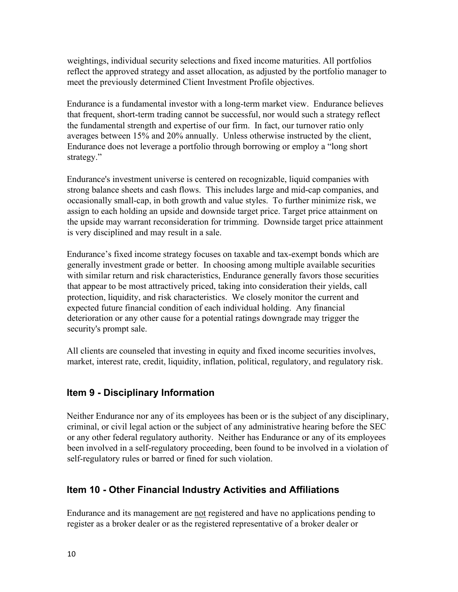weightings, individual security selections and fixed income maturities. All portfolios reflect the approved strategy and asset allocation, as adjusted by the portfolio manager to meet the previously determined Client Investment Profile objectives.

Endurance is a fundamental investor with a long-term market view. Endurance believes that frequent, short-term trading cannot be successful, nor would such a strategy reflect the fundamental strength and expertise of our firm. In fact, our turnover ratio only averages between 15% and 20% annually. Unless otherwise instructed by the client, Endurance does not leverage a portfolio through borrowing or employ a "long short strategy."

Endurance's investment universe is centered on recognizable, liquid companies with strong balance sheets and cash flows. This includes large and mid-cap companies, and occasionally small-cap, in both growth and value styles. To further minimize risk, we assign to each holding an upside and downside target price. Target price attainment on the upside may warrant reconsideration for trimming. Downside target price attainment is very disciplined and may result in a sale.

Endurance's fixed income strategy focuses on taxable and tax-exempt bonds which are generally investment grade or better. In choosing among multiple available securities with similar return and risk characteristics, Endurance generally favors those securities that appear to be most attractively priced, taking into consideration their yields, call protection, liquidity, and risk characteristics. We closely monitor the current and expected future financial condition of each individual holding. Any financial deterioration or any other cause for a potential ratings downgrade may trigger the security's prompt sale.

All clients are counseled that investing in equity and fixed income securities involves, market, interest rate, credit, liquidity, inflation, political, regulatory, and regulatory risk.

#### **Item 9 - Disciplinary Information**

Neither Endurance nor any of its employees has been or is the subject of any disciplinary, criminal, or civil legal action or the subject of any administrative hearing before the SEC or any other federal regulatory authority. Neither has Endurance or any of its employees been involved in a self-regulatory proceeding, been found to be involved in a violation of self-regulatory rules or barred or fined for such violation.

#### **Item 10 - Other Financial Industry Activities and Affiliations**

Endurance and its management are not registered and have no applications pending to register as a broker dealer or as the registered representative of a broker dealer or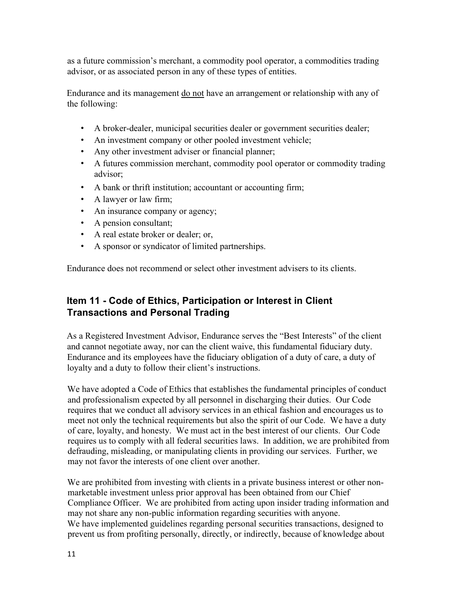as a future commission's merchant, a commodity pool operator, a commodities trading advisor, or as associated person in any of these types of entities.

Endurance and its management do not have an arrangement or relationship with any of the following:

- A broker-dealer, municipal securities dealer or government securities dealer;
- An investment company or other pooled investment vehicle;
- Any other investment adviser or financial planner;
- A futures commission merchant, commodity pool operator or commodity trading advisor;
- A bank or thrift institution; accountant or accounting firm;
- A lawyer or law firm;
- An insurance company or agency;
- A pension consultant;
- A real estate broker or dealer; or,
- A sponsor or syndicator of limited partnerships.

Endurance does not recommend or select other investment advisers to its clients.

#### **Item 11 - Code of Ethics, Participation or Interest in Client Transactions and Personal Trading**

As a Registered Investment Advisor, Endurance serves the "Best Interests" of the client and cannot negotiate away, nor can the client waive, this fundamental fiduciary duty. Endurance and its employees have the fiduciary obligation of a duty of care, a duty of loyalty and a duty to follow their client's instructions.

We have adopted a Code of Ethics that establishes the fundamental principles of conduct and professionalism expected by all personnel in discharging their duties. Our Code requires that we conduct all advisory services in an ethical fashion and encourages us to meet not only the technical requirements but also the spirit of our Code. We have a duty of care, loyalty, and honesty. We must act in the best interest of our clients. Our Code requires us to comply with all federal securities laws. In addition, we are prohibited from defrauding, misleading, or manipulating clients in providing our services. Further, we may not favor the interests of one client over another.

We are prohibited from investing with clients in a private business interest or other nonmarketable investment unless prior approval has been obtained from our Chief Compliance Officer. We are prohibited from acting upon insider trading information and may not share any non-public information regarding securities with anyone. We have implemented guidelines regarding personal securities transactions, designed to prevent us from profiting personally, directly, or indirectly, because of knowledge about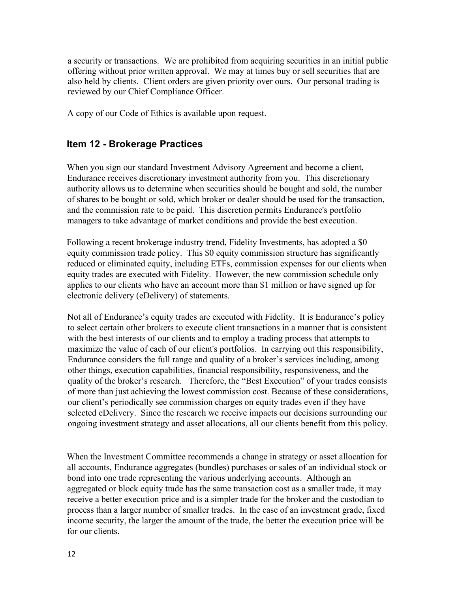a security or transactions. We are prohibited from acquiring securities in an initial public offering without prior written approval. We may at times buy or sell securities that are also held by clients. Client orders are given priority over ours. Our personal trading is reviewed by our Chief Compliance Officer.

A copy of our Code of Ethics is available upon request.

#### **Item 12 - Brokerage Practices**

When you sign our standard Investment Advisory Agreement and become a client, Endurance receives discretionary investment authority from you. This discretionary authority allows us to determine when securities should be bought and sold, the number of shares to be bought or sold, which broker or dealer should be used for the transaction, and the commission rate to be paid. This discretion permits Endurance's portfolio managers to take advantage of market conditions and provide the best execution.

Following a recent brokerage industry trend, Fidelity Investments, has adopted a \$0 equity commission trade policy. This \$0 equity commission structure has significantly reduced or eliminated equity, including ETFs, commission expenses for our clients when equity trades are executed with Fidelity. However, the new commission schedule only applies to our clients who have an account more than \$1 million or have signed up for electronic delivery (eDelivery) of statements.

Not all of Endurance's equity trades are executed with Fidelity. It is Endurance's policy to select certain other brokers to execute client transactions in a manner that is consistent with the best interests of our clients and to employ a trading process that attempts to maximize the value of each of our client's portfolios. In carrying out this responsibility, Endurance considers the full range and quality of a broker's services including, among other things, execution capabilities, financial responsibility, responsiveness, and the quality of the broker's research. Therefore, the "Best Execution" of your trades consists of more than just achieving the lowest commission cost. Because of these considerations, our client's periodically see commission charges on equity trades even if they have selected eDelivery. Since the research we receive impacts our decisions surrounding our ongoing investment strategy and asset allocations, all our clients benefit from this policy.

When the Investment Committee recommends a change in strategy or asset allocation for all accounts, Endurance aggregates (bundles) purchases or sales of an individual stock or bond into one trade representing the various underlying accounts. Although an aggregated or block equity trade has the same transaction cost as a smaller trade, it may receive a better execution price and is a simpler trade for the broker and the custodian to process than a larger number of smaller trades. In the case of an investment grade, fixed income security, the larger the amount of the trade, the better the execution price will be for our clients.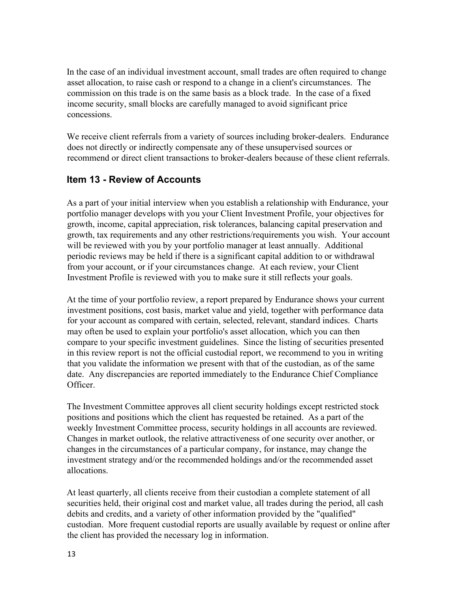In the case of an individual investment account, small trades are often required to change asset allocation, to raise cash or respond to a change in a client's circumstances. The commission on this trade is on the same basis as a block trade. In the case of a fixed income security, small blocks are carefully managed to avoid significant price concessions.

We receive client referrals from a variety of sources including broker-dealers. Endurance does not directly or indirectly compensate any of these unsupervised sources or recommend or direct client transactions to broker-dealers because of these client referrals.

#### **Item 13 - Review of Accounts**

As a part of your initial interview when you establish a relationship with Endurance, your portfolio manager develops with you your Client Investment Profile, your objectives for growth, income, capital appreciation, risk tolerances, balancing capital preservation and growth, tax requirements and any other restrictions/requirements you wish. Your account will be reviewed with you by your portfolio manager at least annually. Additional periodic reviews may be held if there is a significant capital addition to or withdrawal from your account, or if your circumstances change. At each review, your Client Investment Profile is reviewed with you to make sure it still reflects your goals.

At the time of your portfolio review, a report prepared by Endurance shows your current investment positions, cost basis, market value and yield, together with performance data for your account as compared with certain, selected, relevant, standard indices. Charts may often be used to explain your portfolio's asset allocation, which you can then compare to your specific investment guidelines. Since the listing of securities presented in this review report is not the official custodial report, we recommend to you in writing that you validate the information we present with that of the custodian, as of the same date. Any discrepancies are reported immediately to the Endurance Chief Compliance Officer.

The Investment Committee approves all client security holdings except restricted stock positions and positions which the client has requested be retained. As a part of the weekly Investment Committee process, security holdings in all accounts are reviewed. Changes in market outlook, the relative attractiveness of one security over another, or changes in the circumstances of a particular company, for instance, may change the investment strategy and/or the recommended holdings and/or the recommended asset allocations.

At least quarterly, all clients receive from their custodian a complete statement of all securities held, their original cost and market value, all trades during the period, all cash debits and credits, and a variety of other information provided by the "qualified" custodian. More frequent custodial reports are usually available by request or online after the client has provided the necessary log in information.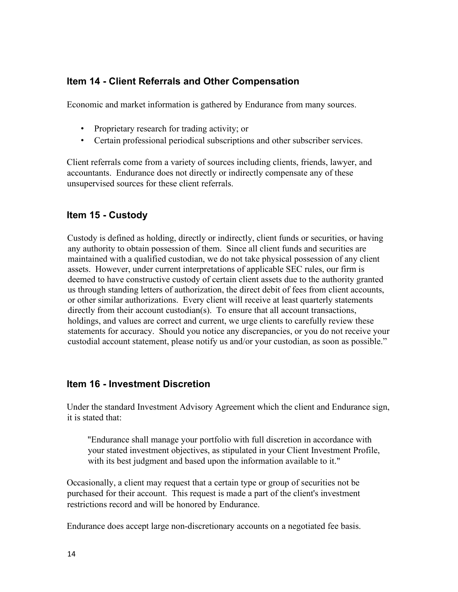#### **Item 14 - Client Referrals and Other Compensation**

Economic and market information is gathered by Endurance from many sources.

- Proprietary research for trading activity; or
- Certain professional periodical subscriptions and other subscriber services.

Client referrals come from a variety of sources including clients, friends, lawyer, and accountants. Endurance does not directly or indirectly compensate any of these unsupervised sources for these client referrals.

#### **Item 15 - Custody**

Custody is defined as holding, directly or indirectly, client funds or securities, or having any authority to obtain possession of them. Since all client funds and securities are maintained with a qualified custodian, we do not take physical possession of any client assets. However, under current interpretations of applicable SEC rules, our firm is deemed to have constructive custody of certain client assets due to the authority granted us through standing letters of authorization, the direct debit of fees from client accounts, or other similar authorizations. Every client will receive at least quarterly statements directly from their account custodian(s). To ensure that all account transactions, holdings, and values are correct and current, we urge clients to carefully review these statements for accuracy. Should you notice any discrepancies, or you do not receive your custodial account statement, please notify us and/or your custodian, as soon as possible."

#### **Item 16 - Investment Discretion**

Under the standard Investment Advisory Agreement which the client and Endurance sign, it is stated that:

"Endurance shall manage your portfolio with full discretion in accordance with your stated investment objectives, as stipulated in your Client Investment Profile, with its best judgment and based upon the information available to it."

Occasionally, a client may request that a certain type or group of securities not be purchased for their account. This request is made a part of the client's investment restrictions record and will be honored by Endurance.

Endurance does accept large non-discretionary accounts on a negotiated fee basis.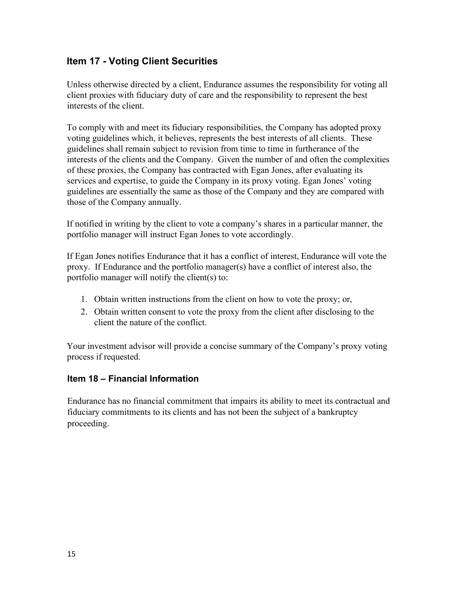#### **Item 17 - Voting Client Securities**

Unless otherwise directed by a client, Endurance assumes the responsibility for voting all client proxies with fiduciary duty of care and the responsibility to represent the best interests of the client.

To comply with and meet its fiduciary responsibilities, the Company has adopted proxy voting guidelines which, it believes, represents the best interests of all clients. These guidelines shall remain subject to revision from time to time in furtherance of the interests of the clients and the Company. Given the number of and often the complexities of these proxies, the Company has contracted with Egan Jones, after evaluating its services and expertise, to guide the Company in its proxy voting. Egan Jones' voting guidelines are essentially the same as those of the Company and they are compared with those of the Company annually.

If notified in writing by the client to vote a company's shares in a particular manner, the portfolio manager will instruct Egan Jones to vote accordingly.

If Egan Jones notifies Endurance that it has a conflict of interest, Endurance will vote the proxy. If Endurance and the portfolio manager(s) have a conflict of interest also, the portfolio manager will notify the client(s) to:

- 1. Obtain written instructions from the client on how to vote the proxy; or,
- 2. Obtain written consent to vote the proxy from the client after disclosing to the client the nature of the conflict.

Your investment advisor will provide a concise summary of the Company's proxy voting process if requested.

#### **Item 18 – Financial Information**

Endurance has no financial commitment that impairs its ability to meet its contractual and fiduciary commitments to its clients and has not been the subject of a bankruptcy proceeding.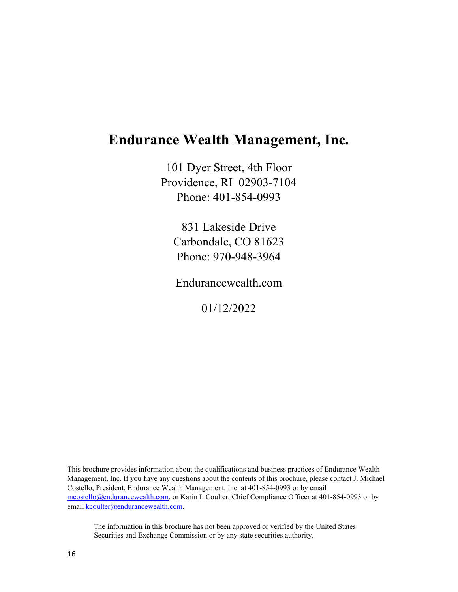# **Endurance Wealth Management, Inc.**

101 Dyer Street, 4th Floor Providence, RI 02903-7104 Phone: 401-854-0993

831 Lakeside Drive Carbondale, CO 81623 Phone: 970-948-3964

Endurancewealth.com

01/12/2022

This brochure provides information about the qualifications and business practices of Endurance Wealth Management, Inc. If you have any questions about the contents of this brochure, please contact J. Michael Costello, President, Endurance Wealth Management, Inc. at 401-854-0993 or by email mcostello@endurancewealth.com, or Karin I. Coulter, Chief Compliance Officer at 401-854-0993 or by email kcoulter@endurancewealth.com.

The information in this brochure has not been approved or verified by the United States Securities and Exchange Commission or by any state securities authority.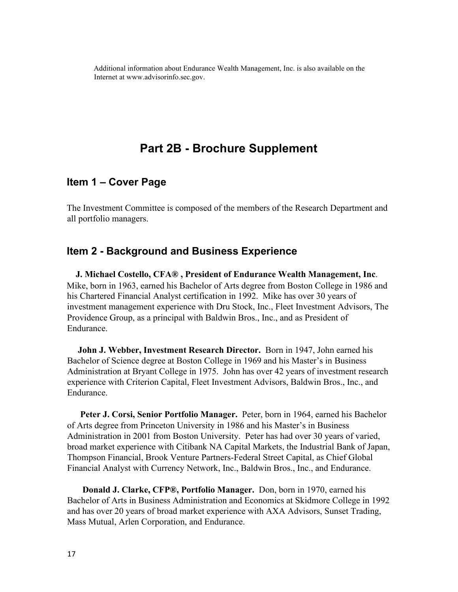Additional information about Endurance Wealth Management, Inc. is also available on the Internet at www.advisorinfo.sec.gov.

### **Part 2B - Brochure Supplement**

#### **Item 1 – Cover Page**

The Investment Committee is composed of the members of the Research Department and all portfolio managers.

#### **Item 2 - Background and Business Experience**

 **J. Michael Costello, CFA® , President of Endurance Wealth Management, Inc**. Mike, born in 1963, earned his Bachelor of Arts degree from Boston College in 1986 and his Chartered Financial Analyst certification in 1992. Mike has over 30 years of investment management experience with Dru Stock, Inc., Fleet Investment Advisors, The Providence Group, as a principal with Baldwin Bros., Inc., and as President of Endurance.

 **John J. Webber, Investment Research Director.** Born in 1947, John earned his Bachelor of Science degree at Boston College in 1969 and his Master's in Business Administration at Bryant College in 1975. John has over 42 years of investment research experience with Criterion Capital, Fleet Investment Advisors, Baldwin Bros., Inc., and Endurance.

 **Peter J. Corsi, Senior Portfolio Manager.** Peter, born in 1964, earned his Bachelor of Arts degree from Princeton University in 1986 and his Master's in Business Administration in 2001 from Boston University. Peter has had over 30 years of varied, broad market experience with Citibank NA Capital Markets, the Industrial Bank of Japan, Thompson Financial, Brook Venture Partners-Federal Street Capital, as Chief Global Financial Analyst with Currency Network, Inc., Baldwin Bros., Inc., and Endurance.

 **Donald J. Clarke, CFP®, Portfolio Manager.** Don, born in 1970, earned his Bachelor of Arts in Business Administration and Economics at Skidmore College in 1992 and has over 20 years of broad market experience with AXA Advisors, Sunset Trading, Mass Mutual, Arlen Corporation, and Endurance.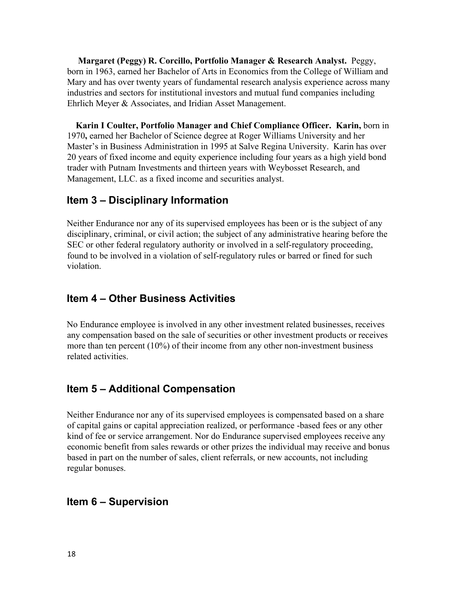**Margaret (Peggy) R. Corcillo, Portfolio Manager & Research Analyst.** Peggy, born in 1963, earned her Bachelor of Arts in Economics from the College of William and Mary and has over twenty years of fundamental research analysis experience across many industries and sectors for institutional investors and mutual fund companies including Ehrlich Meyer & Associates, and Iridian Asset Management.

 **Karin I Coulter, Portfolio Manager and Chief Compliance Officer. Karin,** born in 1970**,** earned her Bachelor of Science degree at Roger Williams University and her Master's in Business Administration in 1995 at Salve Regina University. Karin has over 20 years of fixed income and equity experience including four years as a high yield bond trader with Putnam Investments and thirteen years with Weybosset Research, and Management, LLC. as a fixed income and securities analyst.

#### **Item 3 – Disciplinary Information**

Neither Endurance nor any of its supervised employees has been or is the subject of any disciplinary, criminal, or civil action; the subject of any administrative hearing before the SEC or other federal regulatory authority or involved in a self-regulatory proceeding, found to be involved in a violation of self-regulatory rules or barred or fined for such violation.

#### **Item 4 – Other Business Activities**

No Endurance employee is involved in any other investment related businesses, receives any compensation based on the sale of securities or other investment products or receives more than ten percent  $(10\%)$  of their income from any other non-investment business related activities.

#### **Item 5 – Additional Compensation**

Neither Endurance nor any of its supervised employees is compensated based on a share of capital gains or capital appreciation realized, or performance -based fees or any other kind of fee or service arrangement. Nor do Endurance supervised employees receive any economic benefit from sales rewards or other prizes the individual may receive and bonus based in part on the number of sales, client referrals, or new accounts, not including regular bonuses.

#### **Item 6 – Supervision**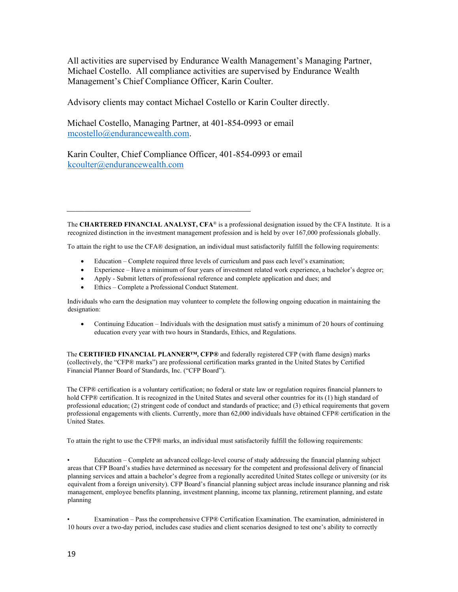All activities are supervised by Endurance Wealth Management's Managing Partner, Michael Costello. All compliance activities are supervised by Endurance Wealth Management's Chief Compliance Officer, Karin Coulter.

Advisory clients may contact Michael Costello or Karin Coulter directly.

Michael Costello, Managing Partner, at 401-854-0993 or email [mcostello@endurancewealth.com.](mailto:mcostello@endurancewealth.com)

Karin Coulter, Chief Compliance Officer, 401-854-0993 or email [kcoulter@endurancewealth.com](mailto:kcoulter@endurancewealth.com)

The **CHARTERED FINANCIAL ANALYST, CFA**® is a professional designation issued by the CFA Institute. It is a recognized distinction in the investment management profession and is held by over 167,000 professionals globally.

To attain the right to use the CFA® designation, an individual must satisfactorily fulfill the following requirements:

- Education Complete required three levels of curriculum and pass each level's examination;
- Experience Have a minimum of four years of investment related work experience, a bachelor's degree or;
- Apply Submit letters of professional reference and complete application and dues; and
- Ethics Complete a Professional Conduct Statement.

 $\overline{\mathcal{L}}$  , and the contribution of the contribution of  $\overline{\mathcal{L}}$ 

Individuals who earn the designation may volunteer to complete the following ongoing education in maintaining the designation:

• Continuing Education – Individuals with the designation must satisfy a minimum of 20 hours of continuing education every year with two hours in Standards, Ethics, and Regulations.

The **CERTIFIED FINANCIAL PLANNER™, CFP®** and federally registered CFP (with flame design) marks (collectively, the "CFP® marks") are professional certification marks granted in the United States by Certified Financial Planner Board of Standards, Inc. ("CFP Board").

The CFP® certification is a voluntary certification; no federal or state law or regulation requires financial planners to hold CFP® certification. It is recognized in the United States and several other countries for its (1) high standard of professional education; (2) stringent code of conduct and standards of practice; and (3) ethical requirements that govern professional engagements with clients. Currently, more than 62,000 individuals have obtained CFP® certification in the United States.

To attain the right to use the CFP® marks, an individual must satisfactorily fulfill the following requirements:

• Education – Complete an advanced college-level course of study addressing the financial planning subject areas that CFP Board's studies have determined as necessary for the competent and professional delivery of financial planning services and attain a bachelor's degree from a regionally accredited United States college or university (or its equivalent from a foreign university). CFP Board's financial planning subject areas include insurance planning and risk management, employee benefits planning, investment planning, income tax planning, retirement planning, and estate planning

• Examination – Pass the comprehensive CFP® Certification Examination. The examination, administered in 10 hours over a two-day period, includes case studies and client scenarios designed to test one's ability to correctly